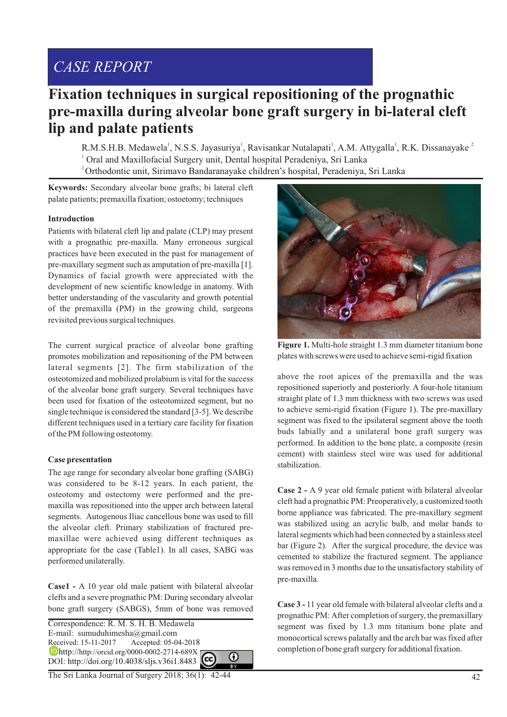# *CASE REPORT*

## **Fixation techniques in surgical repositioning of the prognathic pre-maxilla during alveolar bone graft surgery in bi-lateral cleft lip and palate patients**

R.M.S.H.B. Medawela<sup>1</sup>, N.S.S. Jayasuriya<sup>1</sup>, Ravisankar Nutalapati<sup>1</sup>, A.M. Attygalla<sup>1</sup>, R.K. Dissanayake<sup>2</sup> 1 Oral and Maxillofacial Surgery unit, Dental hospital Peradeniya, Sri Lanka <sup>2</sup>Orthodontic unit, Sirimavo Bandaranayake children's hospital, Peradeniya, Sri Lanka

**Keywords:** Secondary alveolar bone grafts; bi lateral cleft palate patients; premaxilla fixation; ostoetomy; techniques

### **Introduction**

Patients with bilateral cleft lip and palate (CLP) may present with a prognathic pre-maxilla. Many erroneous surgical practices have been executed in the past for management of pre-maxillary segment such as amputation of pre-maxilla [1]. Dynamics of facial growth were appreciated with the development of new scientific knowledge in anatomy. With better understanding of the vascularity and growth potential of the premaxilla (PM) in the growing child, surgeons revisited previous surgical techniques.

The current surgical practice of alveolar bone grafting promotes mobilization and repositioning of the PM between lateral segments [2]. The firm stabilization of the osteotomized and mobilized prolabium is vital for the success of the alveolar bone graft surgery. Several techniques have been used for fixation of the osteotomized segment, but no single technique is considered the standard [3-5]. We describe different techniques used in a tertiary care facility for fixation of the PM following osteotomy.

### **Case presentation**

The age range for secondary alveolar bone grafting (SABG) was considered to be 8-12 years. In each patient, the osteotomy and ostectomy were performed and the premaxilla was repositioned into the upper arch between lateral segments. Autogenous Iliac cancellous bone was used to fill the alveolar cleft. Primary stabilization of fractured premaxillae were achieved using different techniques as appropriate for the case (Table1). In all cases, SABG was performed unilaterally.

**Case1 -** A 10 year old male patient with bilateral alveolar clefts and a severe prognathic PM: During secondary alveolar bone graft surgery (SABGS), 5mm of bone was removed

Correspondence: R. M. S. H. B. Medawela E-mail: sumuduhimesha@gmail.com Received: 15-11-2017 Accepted: 05-04-2018 **b** http://http://orcid.org/0000-0002-2714-689X ⋒ DOI: http://doi.org/10.4038/sljs.v36i1.8483

The Sri Lanka Journal of Surgery 2018; 36(1): 42-44



**Figure 1.** Multi-hole straight 1.3 mm diameter titanium bone plates with screws were used to achieve semi-rigid fixation

above the root apices of the premaxilla and the was repositioned superiorly and posteriorly. A four-hole titanium straight plate of 1.3 mm thickness with two screws was used to achieve semi-rigid fixation (Figure 1). The pre-maxillary segment was fixed to the ipsilateral segment above the tooth buds labially and a unilateral bone graft surgery was performed. In addition to the bone plate, a composite (resin cement) with stainless steel wire was used for additional stabilization.

**Case 2 -** A 9 year old female patient with bilateral alveolar cleft had a prognathic PM: Preoperatively, a customized tooth borne appliance was fabricated. The pre-maxillary segment was stabilized using an acrylic bulb, and molar bands to lateral segments which had been connected by a stainless steel bar (Figure 2). After the surgical procedure, the device was cemented to stabilize the fractured segment. The appliance was removed in 3 months due to the unsatisfactory stability of pre-maxilla.

**Case 3 -** 11 year old female with bilateral alveolar clefts and a prognathic PM: After completion of surgery, the premaxillary segment was fixed by 1.3 mm titanium bone plate and monocortical screws palatally and the arch bar was fixed after completion of bone graft surgery for additional fixation.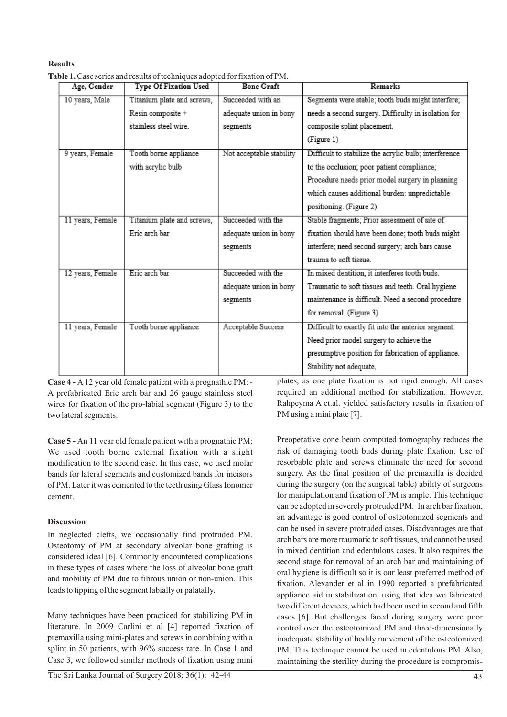## **Results**

**Table 1.**Case series and results of techniques adopted for fixation of PM.

| Age, Gender      | <b>Type Of Fixation Used</b> | <b>Bone Graft</b>        | <b>Remarks</b>                                        |
|------------------|------------------------------|--------------------------|-------------------------------------------------------|
| 10 years, Male   | Titanium plate and screws,   | Succeeded with an        | Segments were stable; tooth buds might interfere;     |
|                  | Resin composite +            | adequate union in bony   | needs a second surgery. Difficulty in isolation for   |
|                  | stainless steel wire.        | segments                 | composite splint placement.                           |
|                  |                              |                          | (Figure 1)                                            |
| 9 years, Female  | Tooth borne appliance        | Not acceptable stability | Difficult to stabilize the acrylic bulb; interference |
|                  | with acrylic bulb            |                          | to the occlusion; poor patient compliance;            |
|                  |                              |                          | Procedure needs prior model surgery in planning       |
|                  |                              |                          | which causes additional burden: unpredictable         |
|                  |                              |                          | positioning. (Figure 2)                               |
| 11 years, Female | Titanium plate and screws,   | Succeeded with the       | Stable fragments; Prior assessment of site of         |
|                  | Eric arch bar                | adequate union in bony   | fixation should have been done; tooth buds might      |
|                  |                              | segments                 | interfere; need second surgery; arch bars cause       |
|                  |                              |                          | trauma to soft tissue                                 |
| 12 years, Female | Eric arch bar                | Succeeded with the       | In mixed dentition, it interferes tooth buds.         |
|                  |                              | adequate union in bony   | Traumatic to soft tissues and teeth. Oral hygiene     |
|                  |                              | segments                 | maintenance is difficult. Need a second procedure     |
|                  |                              |                          | for removal. (Figure 3)                               |
| 11 years, Female | Tooth borne appliance        | Acceptable Success       | Difficult to exactly fit into the anterior segment.   |
|                  |                              |                          | Need prior model surgery to achieve the               |
|                  |                              |                          | presumptive position for fabrication of appliance.    |
|                  |                              |                          | Stability not adequate,                               |
|                  |                              |                          |                                                       |

**Case 4 -** A12 year old female patient with a prognathic PM: - A prefabricated Eric arch bar and 26 gauge stainless steel wires for fixation of the pro-labial segment (Figure 3) to the two lateral segments.

**Case 5 -** An 11 year old female patient with a prognathic PM: We used tooth borne external fixation with a slight modification to the second case. In this case, we used molar bands for lateral segments and customized bands for incisors of PM. Later it was cemented to the teeth using Glass Ionomer cement.

## **Discussion**

In neglected clefts, we occasionally find protruded PM. Osteotomy of PM at secondary alveolar bone grafting is considered ideal [6]. Commonly encountered complications in these types of cases where the loss of alveolar bone graft and mobility of PM due to fibrous union or non-union. This leads to tipping of the segment labially or palatally.

Many techniques have been practiced for stabilizing PM in literature. In 2009 Carlini et al [4] reported fixation of premaxilla using mini-plates and screws in combining with a splint in 50 patients, with 96% success rate. In Case 1 and Case 3, we followed similar methods of fixation using mini

The Sri Lanka Journal of Surgery 2018; 36(1): 42-44 43

plates, as one plate fixation is not rigid enough. All cases required an additional method for stabilization. However, Rahpeyma A et.al. yielded satisfactory results in fixation of PM using a mini plate [7].

Preoperative cone beam computed tomography reduces the risk of damaging tooth buds during plate fixation. Use of resorbable plate and screws eliminate the need for second surgery. As the final position of the premaxilla is decided during the surgery (on the surgical table) ability of surgeons for manipulation and fixation of PM is ample. This technique can be adopted in severely protruded PM. In arch bar fixation, an advantage is good control of osteotomized segments and can be used in severe protruded cases. Disadvantages are that arch bars are more traumatic to soft tissues, and cannot be used in mixed dentition and edentulous cases. It also requires the second stage for removal of an arch bar and maintaining of oral hygiene is difficult so it is our least preferred method of fixation. Alexander et al in 1990 reported a prefabricated appliance aid in stabilization, using that idea we fabricated two different devices, which had been used in second and fifth cases [6]. But challenges faced during surgery were poor control over the osteotomized PM and three-dimensionally inadequate stability of bodily movement of the osteotomized PM. This technique cannot be used in edentulous PM. Also, maintaining the sterility during the procedure is compromis